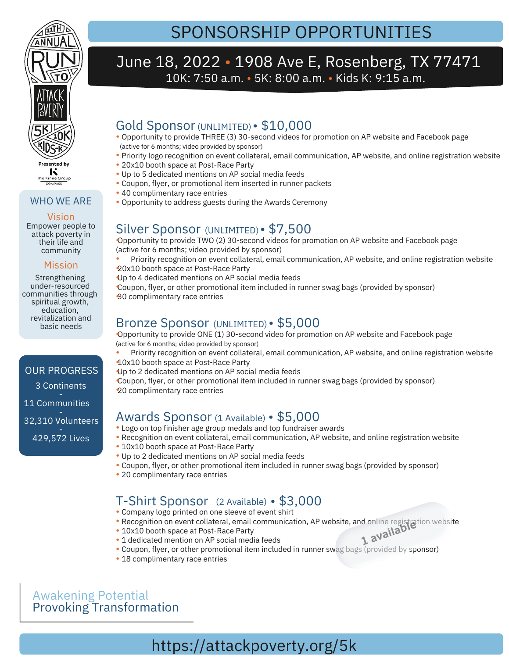

#### WHO WE ARE

Empower people to attack poverty in Vision

#### community Mission

their life and

Strengthening under-resourced communities through spiritual growth, education, revitalization and basic needs

### 3 Continents 11 Communities OUR PROGRESS

32,310 Volunteers 429,572 Lives

# SPONSORSHIP OPPORTUNITIES

### June 18, 2022 • 1908 Ave E, Rosenberg, TX 77471 10K: 7:50 a.m. • 5K: 8:00 a.m. • Kids K: 9:15 a.m.

### Gold Sponsor (UNLIMITED) • \$10,000

- Opportunity to provide THREE (3) 30-second videos for promotion on AP website and Facebook page (active for 6 months; video provided by sponsor)
- Priority logo recognition on event collateral, email communication, AP website, and online registration website •
- 20x10 booth space at Post-Race Party Up to 5 dedicated mentions on AP social media feeds •
- Coupon, flyer, or promotional item inserted in runner packets •
- 40 complimentary race entries •
- Opportunity to address guests during the Awards Ceremony •

### Silver Sponsor (UNLIMITED) • \$7,500

Opportunity to provide TWO (2) 30-second videos for promotion on AP website and Facebook page • (active for 6 months; video provided by sponsor)

Priority recognition on event collateral, email communication, AP website, and online registration website 20x10 booth space at Post-Race Party • •

Up to 4 dedicated mentions on AP social media feeds

Coupon, flyer, or other promotional item included in runner swag bags (provided by sponsor) 30 complimentary race entries •

#### Bronze Sponsor (UNLIMITED) • \$5,000

Opportunity to provide ONE (1) 30-second video for promotion on AP website and Facebook page (active for 6 months; video provided by sponsor)

Priority recognition on event collateral, email communication, AP website, and online registration website 10x10 booth space at Post-Race Party • •

Up to 2 dedicated mentions on AP social media feeds

Coupon, flyer, or other promotional item included in runner swag bags (provided by sponsor) 20 complimentary race entries •

### Awards Sponsor (1 Available) • \$5,000

- Logo on top finisher age group medals and top fundraiser awards •
- Recognition on event collateral, email communication, AP website, and online registration website •
- 10x10 booth space at Post-Race Party
- Up to 2 dedicated mentions on AP social media feeds •
- Coupon, flyer, or other promotional item included in runner swag bags (provided by sponsor) •
- 20 complimentary race entries

### T-Shirt Sponsor (2 Available) • \$3,000

- Company logo printed on one sleeve of event shirt
- Recognition on event collateral, email communication, AP website, and online registration website •
- 10x10 booth space at Post-Race Party •
- 1 dedicated mention on AP social media feeds • Recognition of event contateral, email communication, Art website, and online register<br>• 10x10 booth space at Post-Race Party<br>• 1 dedicated mention on AP social media feeds
- Coupon, flyer, or other promotional item included in runner swag bags (provided by sponsor)
- 18 complimentary race entries

### Awakening Potential Provoking Transformation

# https://attackpoverty.org/5k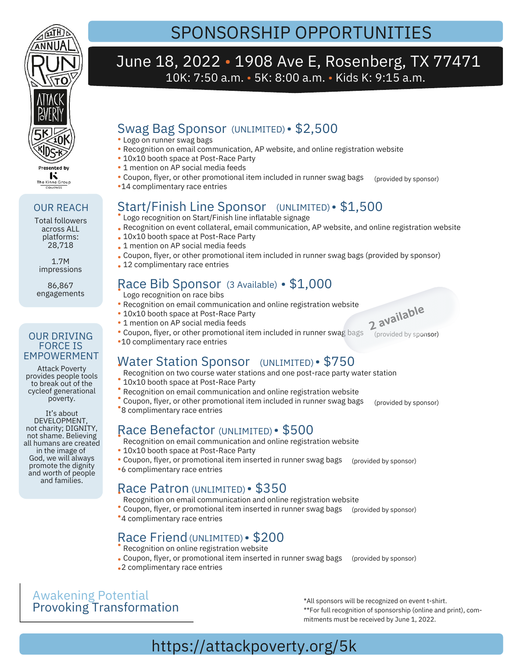

Total followers across ALL platforms: 28,718 1.7M impressions 86,867 engagements

OUR REACH

Attack Poverty provides people tools to break out of the cycleof generational poverty. It's about DEVELOPMENT, not charity; DIGNITY, not shame. Believing all humans are created in the image of God, we will always promote the dignity and worth of people and families.

OUR DRIVING FORCE IS EMPOWERMENT

# SPONSORSHIP OPPORTUNITIES

### June 18, 2022 • 1908 Ave E, Rosenberg, TX 77471 10K: 7:50 a.m. • 5K: 8:00 a.m. • Kids K: 9:15 a.m.

### Swag Bag Sponsor (UNLIMITED) • \$2,500

- Logo on runner swag bags •
- Recognition on email communication, AP website, and online registration website •
- 10x10 booth space at Post-Race Party
- 1 mention on AP social media feeds
- (provided by sponsor) Coupon, flyer, or other promotional item included in runner swag bags •
- 14 complimentary race entries •

### Start/Finish Line Sponsor (UNLIMITED) • \$1,500

- Logo recognition on Start/Finish line inflatable signage
- Recognition on event collateral, email communication, AP website, and online registration website •
- 10x10 booth space at Post-Race Party
- 1 mention on AP social media feeds
- Coupon, flyer, or other promotional item included in runner swag bags (provided by sponsor)
- 12 complimentary race entries

## Race Bib Sponsor (3 Available) • \$1,000

- Logo recognition on race bibs
- Recognition on email communication and online registration website •
- 10x10 booth space at Post-Race Party
- 1 mention on AP social media feeds
- Coupon, flyer, or other promotional item included in runner swag bags •
- 10 complimentary race entries •

### Water Station Sponsor (UNLIMITED) • \$750

- Recognition on two course water stations and one post-race party water station
- Nobel in the boards water state
- Recognition on email communication and online registration website •
- (provided by sponsor) Coupon, flyer, or other promotional item included in runner swag bags <sup>8</sup> complimentary race entries •

### Race Benefactor (UNLIMITED) • \$500

- Recognition on email communication and online registration website
- 10x10 booth space at Post-Race Party
- Coupon, flyer, or promotional item inserted in runner swag bags (provided by sponsor)
- 6 complimentary race entries •

### Race Patron (UNLIMITED) • \$350

- Recognition on email communication and online registration website
- Coupon, flyer, or promotional item inserted in runner swag bags (provided by sponsor)
- \*4 complimentary race entries

### Race Friend (UNLIMITED) · \$200

- Recognition on online registration website
- Coupon, flyer, or promotional item inserted in runner swag bags (provided by sponsor)
- 2 complimentary race entries •

### Awakening Potential Provoking Transformation

\*All sponsors will be recognized on event t-shirt. \*\*For full recognition of sponsorship (online and print), commitments must be received by June 1, 2022.

## https://attackpoverty.org/5k

- (provided by sponsor)
- **2 available**